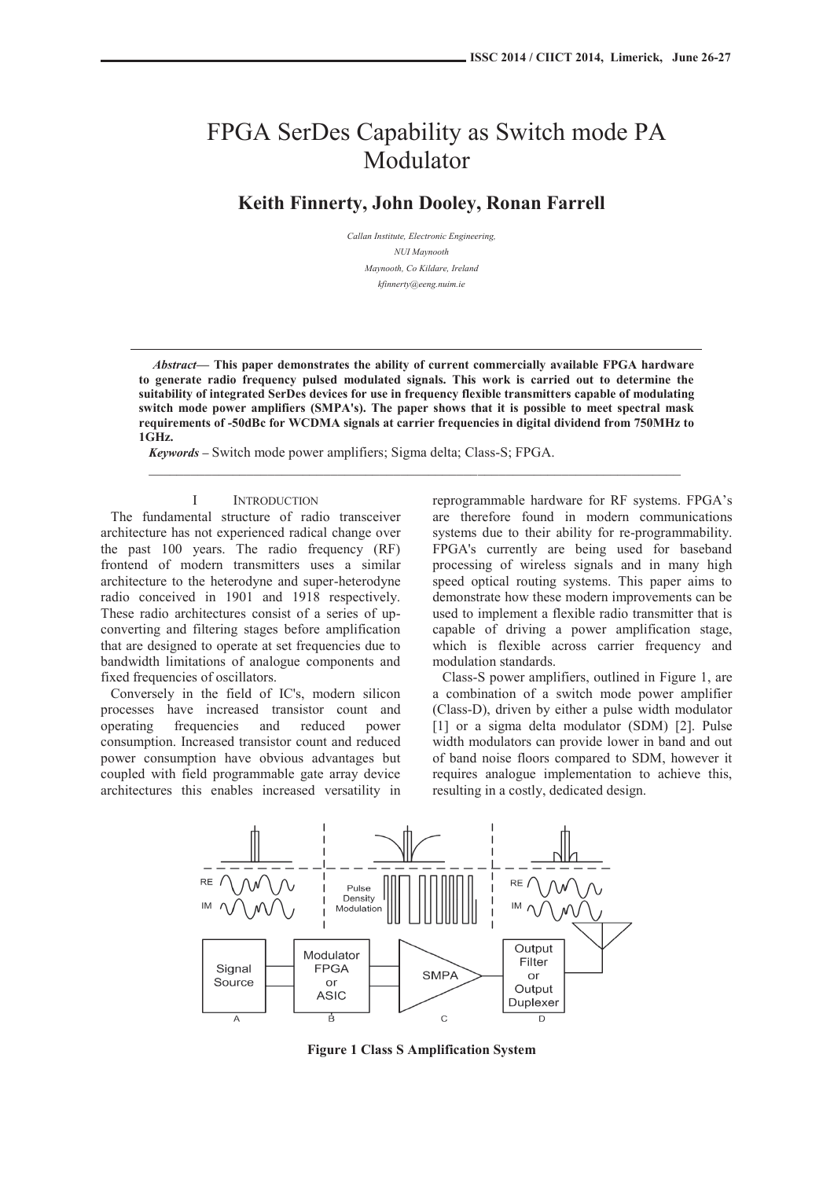# FPGA SerDes Capability as Switch mode PA Modulator

**Keith Finnerty, John Dooley, Ronan Farrell** 

*Callan Institute, Electronic Engineering, NUI Maynooth Maynooth, Co Kildare, Ireland kfinnerty@eeng.nuim.ie* 

*Abstract***— This paper demonstrates the ability of current commercially available FPGA hardware to generate radio frequency pulsed modulated signals. This work is carried out to determine the suitability of integrated SerDes devices for use in frequency flexible transmitters capable of modulating switch mode power amplifiers (SMPA's). The paper shows that it is possible to meet spectral mask requirements of -50dBc for WCDMA signals at carrier frequencies in digital dividend from 750MHz to 1GHz.** 

 $\mathcal{L}_\mathcal{L} = \{ \mathcal{L}_\mathcal{L} = \{ \mathcal{L}_\mathcal{L} = \{ \mathcal{L}_\mathcal{L} = \{ \mathcal{L}_\mathcal{L} = \{ \mathcal{L}_\mathcal{L} = \{ \mathcal{L}_\mathcal{L} = \{ \mathcal{L}_\mathcal{L} = \{ \mathcal{L}_\mathcal{L} = \{ \mathcal{L}_\mathcal{L} = \{ \mathcal{L}_\mathcal{L} = \{ \mathcal{L}_\mathcal{L} = \{ \mathcal{L}_\mathcal{L} = \{ \mathcal{L}_\mathcal{L} = \{ \mathcal{L}_\mathcal{$ 

*Keywords* **–** Switch mode power amplifiers; Sigma delta; Class-S; FPGA.

## I INTRODUCTION

The fundamental structure of radio transceiver architecture has not experienced radical change over the past 100 years. The radio frequency (RF) frontend of modern transmitters uses a similar architecture to the heterodyne and super-heterodyne radio conceived in 1901 and 1918 respectively. These radio architectures consist of a series of upconverting and filtering stages before amplification that are designed to operate at set frequencies due to bandwidth limitations of analogue components and fixed frequencies of oscillators.

Conversely in the field of IC's, modern silicon processes have increased transistor count and operating frequencies and reduced power consumption. Increased transistor count and reduced power consumption have obvious advantages but coupled with field programmable gate array device architectures this enables increased versatility in reprogrammable hardware for RF systems. FPGA's are therefore found in modern communications systems due to their ability for re-programmability. FPGA's currently are being used for baseband processing of wireless signals and in many high speed optical routing systems. This paper aims to demonstrate how these modern improvements can be used to implement a flexible radio transmitter that is capable of driving a power amplification stage, which is flexible across carrier frequency and modulation standards.

Class-S power amplifiers, outlined in Figure 1, are a combination of a switch mode power amplifier (Class-D), driven by either a pulse width modulator [1] or a sigma delta modulator (SDM) [2]. Pulse width modulators can provide lower in band and out of band noise floors compared to SDM, however it requires analogue implementation to achieve this, resulting in a costly, dedicated design.



**Figure 1 Class S Amplification System**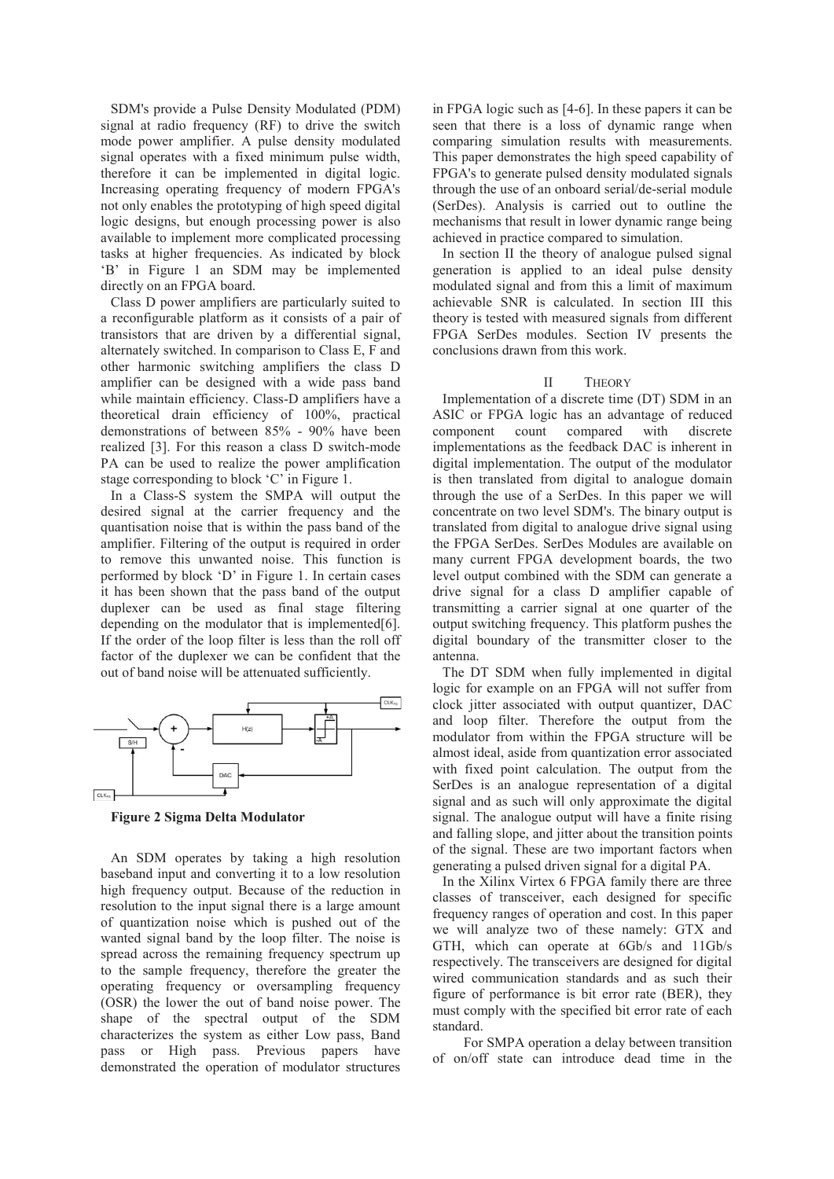SDM's provide a Pulse Density Modulated (PDM) signal at radio frequency (RF) to drive the switch mode power amplifier. A pulse density modulated signal operates with a fixed minimum pulse width, therefore it can be implemented in digital logic. Increasing operating frequency of modern FPGA's not only enables the prototyping of high speed digital logic designs, but enough processing power is also available to implement more complicated processing tasks at higher frequencies. As indicated by block 'B' in Figure 1 an SDM may be implemented directly on an FPGA board.

Class D power amplifiers are particularly suited to a reconfigurable platform as it consists of a pair of transistors that are driven by a differential signal, alternately switched. In comparison to Class E, F and other harmonic switching amplifiers the class D amplifier can be designed with a wide pass band while maintain efficiency. Class-D amplifiers have a theoretical drain efficiency of 100%, practical demonstrations of between 85% - 90% have been realized [3]. For this reason a class D switch-mode PA can be used to realize the power amplification stage corresponding to block 'C' in Figure 1.

In a Class-S system the SMPA will output the desired signal at the carrier frequency and the quantisation noise that is within the pass band of the amplifier. Filtering of the output is required in order to remove this unwanted noise. This function is performed by block 'D' in Figure 1. In certain cases it has been shown that the pass band of the output duplexer can be used as final stage filtering depending on the modulator that is implemented [6]. If the order of the loop filter is less than the roll off factor of the duplexer we can be confident that the out of band noise will be attenuated sufficiently.



**Figure 2 Sigma Delta Modulator** 

An SDM operates by taking a high resolution baseband input and converting it to a low resolution high frequency output. Because of the reduction in resolution to the input signal there is a large amount of quantization noise which is pushed out of the wanted signal band by the loop filter. The noise is spread across the remaining frequency spectrum up to the sample frequency, therefore the greater the operating frequency or oversampling frequency (OSR) the lower the out of band noise power. The shape of the spectral output of the SDM characterizes the system as either Low pass, Band pass or High pass. Previous papers have demonstrated the operation of modulator structures

in FPGA logic such as [4-6]. In these papers it can be seen that there is a loss of dynamic range when comparing simulation results with measurements. This paper demonstrates the high speed capability of FPGA's to generate pulsed density modulated signals through the use of an onboard serial/de-serial module (SerDes). Analysis is carried out to outline the mechanisms that result in lower dynamic range being achieved in practice compared to simulation.

In section II the theory of analogue pulsed signal generation is applied to an ideal pulse density modulated signal and from this a limit of maximum achievable SNR is calculated. In section III this theory is tested with measured signals from different FPGA SerDes modules. Section IV presents the conclusions drawn from this work.

## II THEORY

Implementation of a discrete time (DT) SDM in an ASIC or FPGA logic has an advantage of reduced component count compared with discrete implementations as the feedback DAC is inherent in digital implementation. The output of the modulator is then translated from digital to analogue domain through the use of a SerDes. In this paper we will concentrate on two level SDM's. The binary output is translated from digital to analogue drive signal using the FPGA SerDes. SerDes Modules are available on many current FPGA development boards, the two level output combined with the SDM can generate a drive signal for a class D amplifier capable of transmitting a carrier signal at one quarter of the output switching frequency. This platform pushes the digital boundary of the transmitter closer to the antenna.

The DT SDM when fully implemented in digital logic for example on an FPGA will not suffer from clock jitter associated with output quantizer, DAC and loop filter. Therefore the output from the modulator from within the FPGA structure will be almost ideal, aside from quantization error associated with fixed point calculation. The output from the SerDes is an analogue representation of a digital signal and as such will only approximate the digital signal. The analogue output will have a finite rising and falling slope, and jitter about the transition points of the signal. These are two important factors when generating a pulsed driven signal for a digital PA.

In the Xilinx Virtex 6 FPGA family there are three classes of transceiver, each designed for specific frequency ranges of operation and cost. In this paper we will analyze two of these namely: GTX and GTH, which can operate at 6Gb/s and 11Gb/s respectively. The transceivers are designed for digital wired communication standards and as such their figure of performance is bit error rate (BER), they must comply with the specified bit error rate of each standard.

 For SMPA operation a delay between transition of on/off state can introduce dead time in the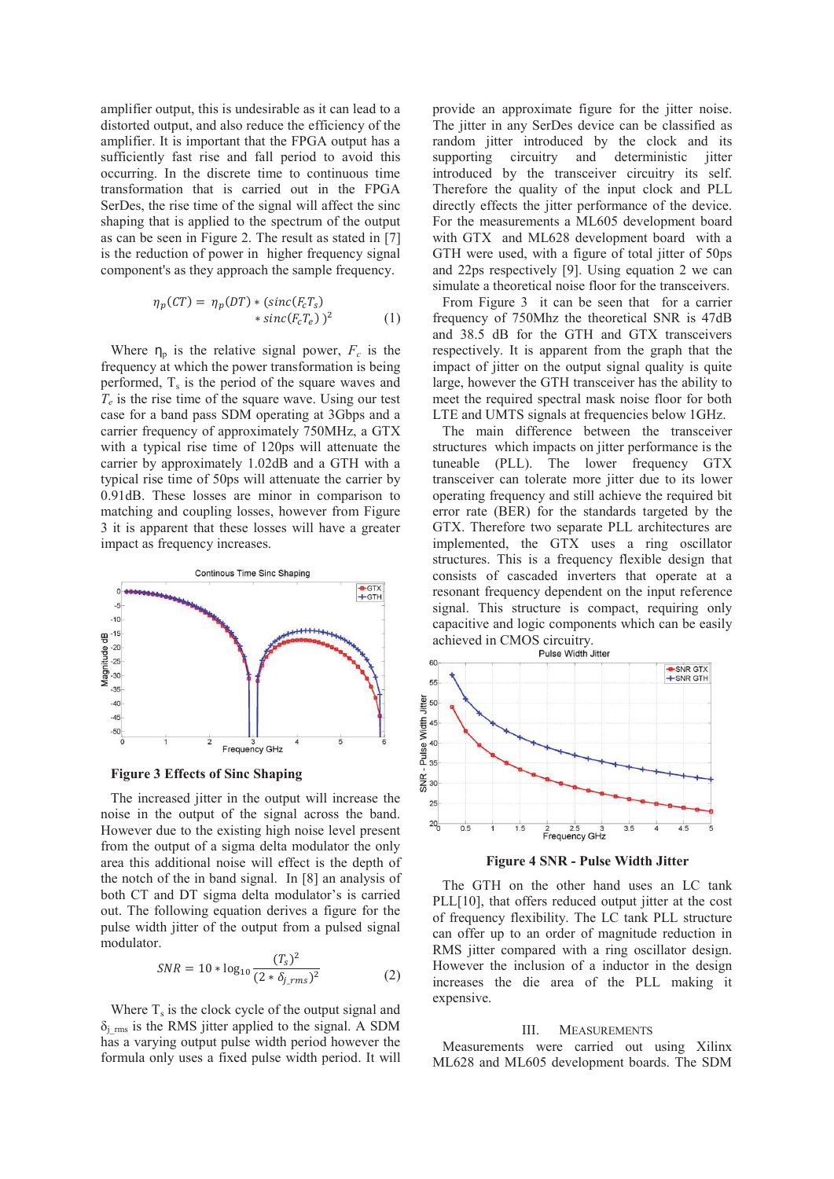amplifier output, this is undesirable as it can lead to a distorted output, and also reduce the efficiency of the amplifier. It is important that the FPGA output has a sufficiently fast rise and fall period to avoid this occurring. In the discrete time to continuous time transformation that is carried out in the FPGA SerDes, the rise time of the signal will affect the sinc shaping that is applied to the spectrum of the output as can be seen in Figure 2. The result as stated in [7] is the reduction of power in higher frequency signal component's as they approach the sample frequency.

$$
\eta_p(CT) = \eta_p(DT) * (sinc(F_cT_s) \n* sinc(F_cT_e))^2
$$
\n(1)

Where  $\eta_p$  is the relative signal power,  $F_c$  is the frequency at which the power transformation is being performed,  $T_s$  is the period of the square waves and  $T_e$  is the rise time of the square wave. Using our test case for a band pass SDM operating at 3Gbps and a carrier frequency of approximately 750MHz, a GTX with a typical rise time of 120ps will attenuate the carrier by approximately 1.02dB and a GTH with a typical rise time of 50ps will attenuate the carrier by 0.91dB. These losses are minor in comparison to matching and coupling losses, however from Figure 3 it is apparent that these losses will have a greater impact as frequency increases.



**Figure 3 Effects of Sinc Shaping** 

The increased jitter in the output will increase the noise in the output of the signal across the band. However due to the existing high noise level present from the output of a sigma delta modulator the only area this additional noise will effect is the depth of the notch of the in band signal. In [8] an analysis of both CT and DT sigma delta modulator's is carried out. The following equation derives a figure for the pulse width jitter of the output from a pulsed signal modulator.

$$
SNR = 10 * \log_{10} \frac{(T_s)^2}{(2 * \delta_{j\_rms})^2}
$$
 (2)

Where  $T_s$  is the clock cycle of the output signal and  $\delta_i$ <sub>rms</sub> is the RMS jitter applied to the signal. A SDM has a varying output pulse width period however the formula only uses a fixed pulse width period. It will provide an approximate figure for the jitter noise. The jitter in any SerDes device can be classified as random jitter introduced by the clock and its supporting circuitry and deterministic jitter introduced by the transceiver circuitry its self. Therefore the quality of the input clock and PLL directly effects the jitter performance of the device. For the measurements a ML605 development board with GTX and ML628 development board with a GTH were used, with a figure of total jitter of 50ps and 22ps respectively [9]. Using equation 2 we can simulate a theoretical noise floor for the transceivers.

From Figure 3 it can be seen that for a carrier frequency of 750Mhz the theoretical SNR is 47dB and 38.5 dB for the GTH and GTX transceivers respectively. It is apparent from the graph that the impact of jitter on the output signal quality is quite large, however the GTH transceiver has the ability to meet the required spectral mask noise floor for both LTE and UMTS signals at frequencies below 1GHz.

The main difference between the transceiver structures which impacts on jitter performance is the tuneable (PLL). The lower frequency GTX transceiver can tolerate more jitter due to its lower operating frequency and still achieve the required bit error rate (BER) for the standards targeted by the GTX. Therefore two separate PLL architectures are implemented, the GTX uses a ring oscillator structures. This is a frequency flexible design that consists of cascaded inverters that operate at a resonant frequency dependent on the input reference signal. This structure is compact, requiring only capacitive and logic components which can be easily achieved in CMOS circuitry.<br>Pulse Width Jitter



**Figure 4 SNR - Pulse Width Jitter** 

The GTH on the other hand uses an LC tank PLL[10], that offers reduced output jitter at the cost of frequency flexibility. The LC tank PLL structure can offer up to an order of magnitude reduction in RMS jitter compared with a ring oscillator design. However the inclusion of a inductor in the design increases the die area of the PLL making it expensive.

#### III. MEASUREMENTS

Measurements were carried out using Xilinx ML628 and ML605 development boards. The SDM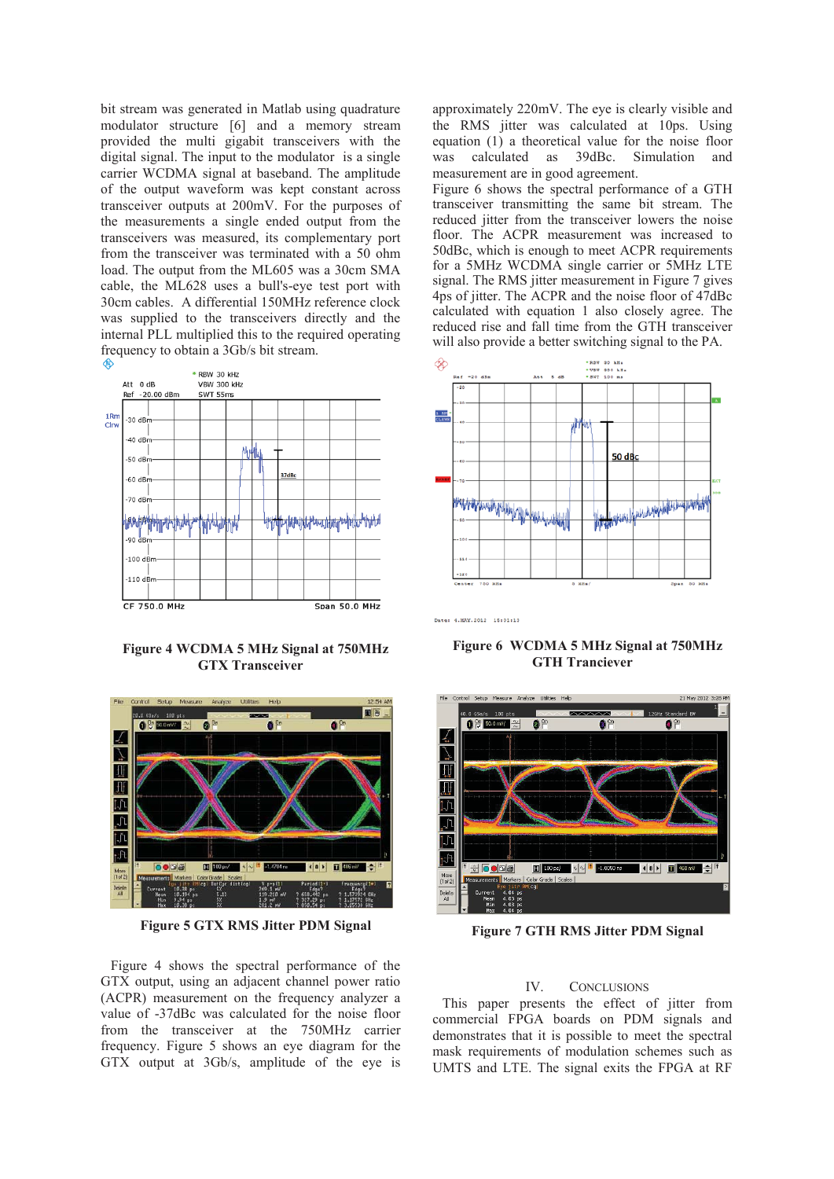bit stream was generated in Matlab using quadrature modulator structure [6] and a memory stream provided the multi gigabit transceivers with the digital signal. The input to the modulator is a single carrier WCDMA signal at baseband. The amplitude of the output waveform was kept constant across transceiver outputs at 200mV. For the purposes of the measurements a single ended output from the transceivers was measured, its complementary port from the transceiver was terminated with a 50 ohm load. The output from the ML605 was a 30cm SMA cable, the ML628 uses a bull's-eye test port with 30cm cables. A differential 150MHz reference clock was supplied to the transceivers directly and the internal PLL multiplied this to the required operating frequency to obtain a 3Gb/s bit stream.



**Figure 4 WCDMA 5 MHz Signal at 750MHz GTX Transceiver** 



**Figure 5 GTX RMS Jitter PDM Signal** 

Figure 4 shows the spectral performance of the GTX output, using an adjacent channel power ratio (ACPR) measurement on the frequency analyzer a value of -37dBc was calculated for the noise floor from the transceiver at the 750MHz carrier frequency. Figure 5 shows an eye diagram for the GTX output at 3Gb/s, amplitude of the eye is

approximately 220mV. The eye is clearly visible and the RMS jitter was calculated at 10ps. Using equation (1) a theoretical value for the noise floor was calculated as 39dBc. Simulation and measurement are in good agreement.

Figure 6 shows the spectral performance of a GTH transceiver transmitting the same bit stream. The reduced jitter from the transceiver lowers the noise floor. The ACPR measurement was increased to 50dBc, which is enough to meet ACPR requirements for a 5MHz WCDMA single carrier or 5MHz LTE signal. The RMS jitter measurement in Figure 7 gives 4ps of jitter. The ACPR and the noise floor of 47dBc calculated with equation 1 also closely agree. The reduced rise and fall time from the GTH transceiver will also provide a better switching signal to the PA.



Date: 4.MAY.2012 15:01:13

**Figure 6 WCDMA 5 MHz Signal at 750MHz GTH Tranciever** 



**Figure 7 GTH RMS Jitter PDM Signal** 

# IV. CONCLUSIONS

This paper presents the effect of jitter from commercial FPGA boards on PDM signals and demonstrates that it is possible to meet the spectral mask requirements of modulation schemes such as UMTS and LTE. The signal exits the FPGA at RF